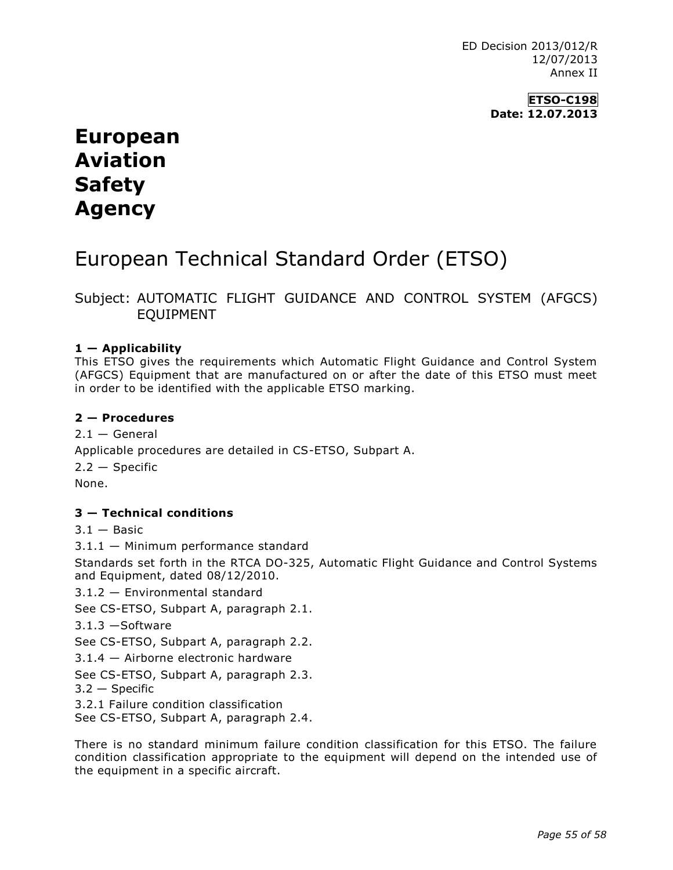ED Decision 2013/012/R 12/07/2013 Annex II

> **ETSO-C198 Date: 12.07.2013**

# **European Aviation Safety Agency**

# European Technical Standard Order (ETSO)

Subject: AUTOMATIC FLIGHT GUIDANCE AND CONTROL SYSTEM (AFGCS) EQUIPMENT

#### **1 — Applicability**

This ETSO gives the requirements which Automatic Flight Guidance and Control System (AFGCS) Equipment that are manufactured on or after the date of this ETSO must meet in order to be identified with the applicable ETSO marking.

#### **2 — Procedures**

 $2.1 -$  General Applicable procedures are detailed in CS-ETSO, Subpart A. 2.2 — Specific None.

### **3 — Technical conditions**

 $3.1 -$ Basic

3.1.1 — Minimum performance standard

Standards set forth in the RTCA DO-325, Automatic Flight Guidance and Control Systems and Equipment, dated 08/12/2010.

3.1.2 — Environmental standard

See CS-ETSO, Subpart A, paragraph 2.1.

3.1.3 —Software

See CS-ETSO, Subpart A, paragraph 2.2.

3.1.4 — Airborne electronic hardware

See CS-ETSO, Subpart A, paragraph 2.3.

3.2 — Specific

3.2.1 Failure condition classification

See CS-ETSO, Subpart A, paragraph 2.4.

There is no standard minimum failure condition classification for this ETSO. The failure condition classification appropriate to the equipment will depend on the intended use of the equipment in a specific aircraft.